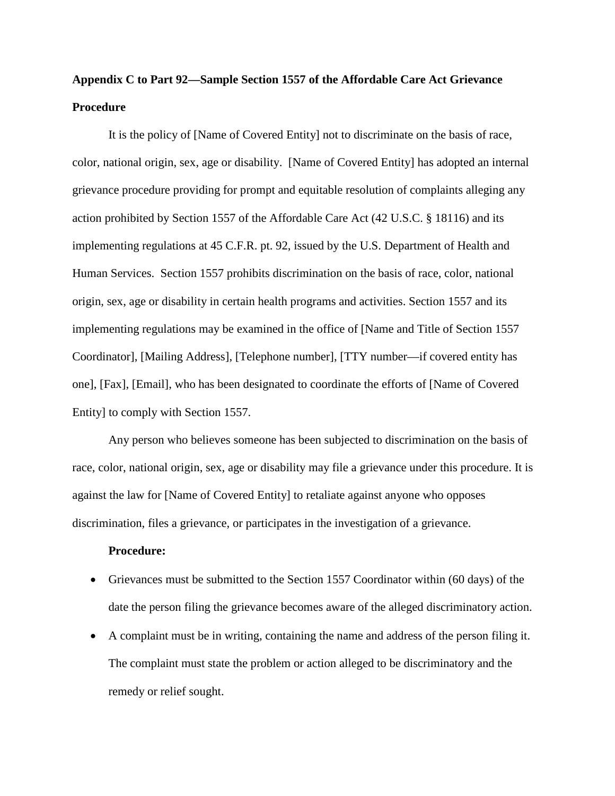## **Appendix C to Part 92—Sample Section 1557 of the Affordable Care Act Grievance Procedure**

It is the policy of [Name of Covered Entity] not to discriminate on the basis of race, color, national origin, sex, age or disability. [Name of Covered Entity] has adopted an internal grievance procedure providing for prompt and equitable resolution of complaints alleging any action prohibited by Section 1557 of the Affordable Care Act (42 U.S.C. § 18116) and its implementing regulations at 45 C.F.R. pt. 92, issued by the U.S. Department of Health and Human Services. Section 1557 prohibits discrimination on the basis of race, color, national origin, sex, age or disability in certain health programs and activities. Section 1557 and its implementing regulations may be examined in the office of [Name and Title of Section 1557 Coordinator], [Mailing Address], [Telephone number], [TTY number—if covered entity has one], [Fax], [Email], who has been designated to coordinate the efforts of [Name of Covered Entity] to comply with Section 1557.

Any person who believes someone has been subjected to discrimination on the basis of race, color, national origin, sex, age or disability may file a grievance under this procedure. It is against the law for [Name of Covered Entity] to retaliate against anyone who opposes discrimination, files a grievance, or participates in the investigation of a grievance.

## **Procedure:**

- Grievances must be submitted to the Section 1557 Coordinator within (60 days) of the date the person filing the grievance becomes aware of the alleged discriminatory action.
- A complaint must be in writing, containing the name and address of the person filing it. The complaint must state the problem or action alleged to be discriminatory and the remedy or relief sought.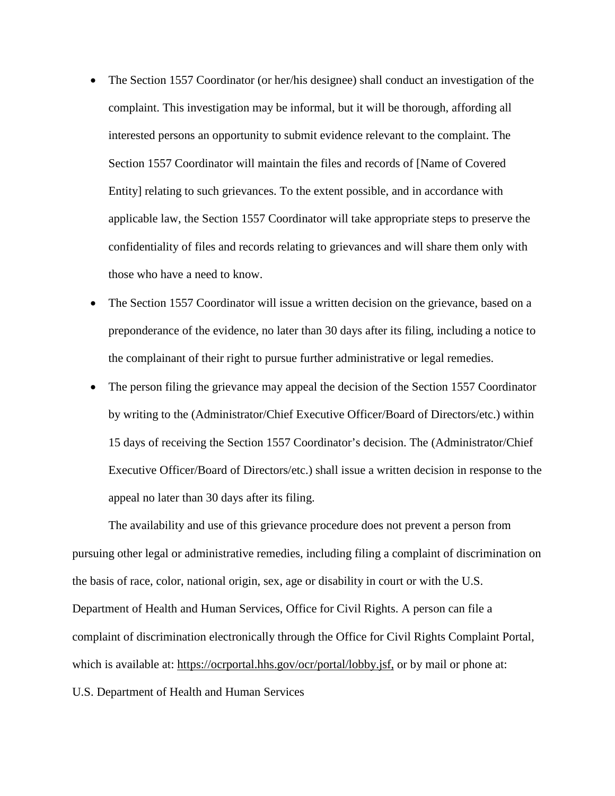- The Section 1557 Coordinator (or her/his designee) shall conduct an investigation of the complaint. This investigation may be informal, but it will be thorough, affording all interested persons an opportunity to submit evidence relevant to the complaint. The Section 1557 Coordinator will maintain the files and records of [Name of Covered Entity] relating to such grievances. To the extent possible, and in accordance with applicable law, the Section 1557 Coordinator will take appropriate steps to preserve the confidentiality of files and records relating to grievances and will share them only with those who have a need to know.
- The Section 1557 Coordinator will issue a written decision on the grievance, based on a preponderance of the evidence, no later than 30 days after its filing, including a notice to the complainant of their right to pursue further administrative or legal remedies.
- The person filing the grievance may appeal the decision of the Section 1557 Coordinator by writing to the (Administrator/Chief Executive Officer/Board of Directors/etc.) within 15 days of receiving the Section 1557 Coordinator's decision. The (Administrator/Chief Executive Officer/Board of Directors/etc.) shall issue a written decision in response to the appeal no later than 30 days after its filing.

The availability and use of this grievance procedure does not prevent a person from pursuing other legal or administrative remedies, including filing a complaint of discrimination on the basis of race, color, national origin, sex, age or disability in court or with the U.S. Department of Health and Human Services, Office for Civil Rights. A person can file a complaint of discrimination electronically through the Office for Civil Rights Complaint Portal, which is available at:<https://ocrportal.hhs.gov/ocr/portal/lobby.jsf,>or by mail or phone at: U.S. Department of Health and Human Services